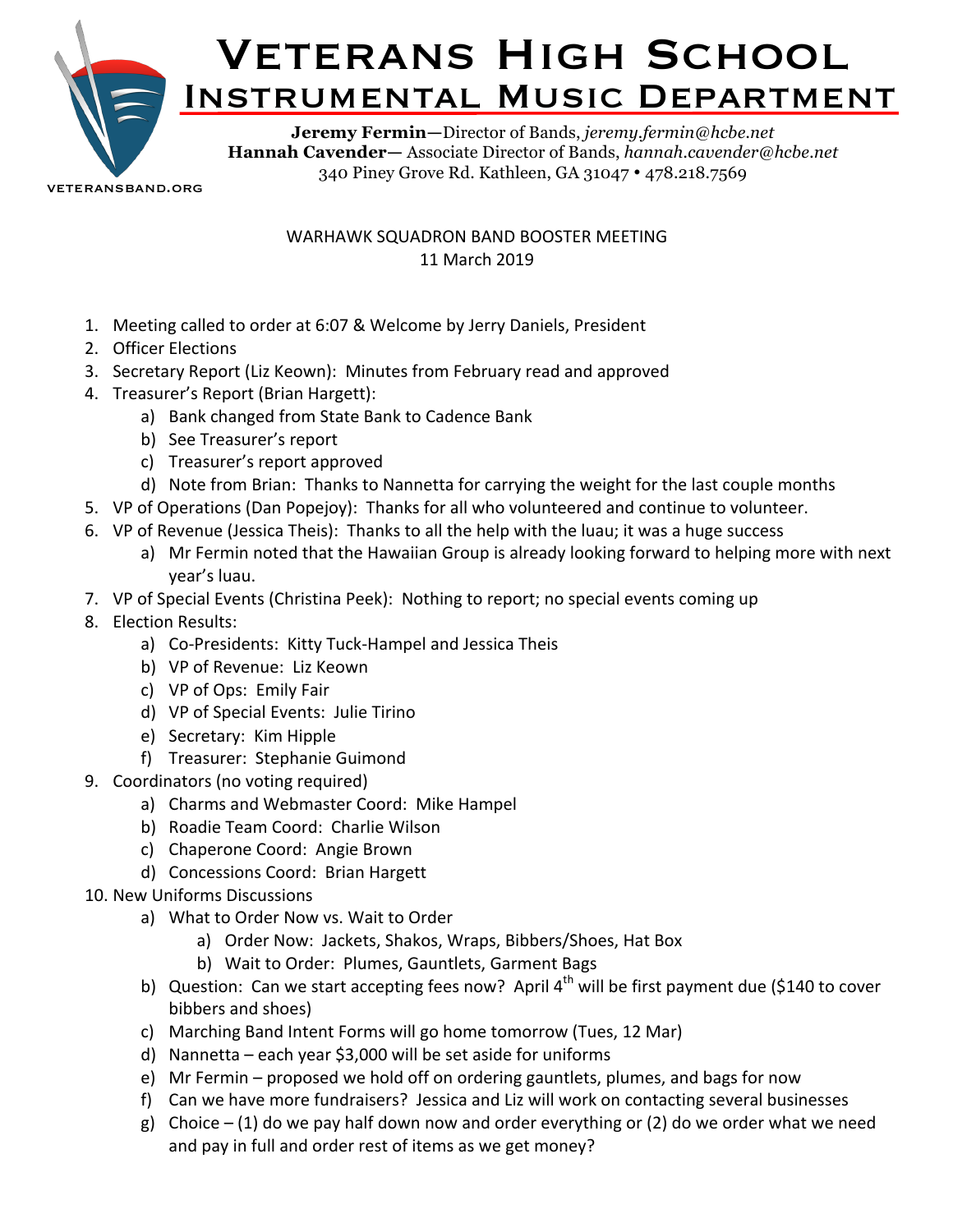

**Hannah Cavender—** Associate Director of Bands, *hannah.cavender@hcbe.net* 340 Piney Grove Rd. Kathleen, GA 31047 • 478.218.7569

veteransband.org

## WARHAWK SQUADRON BAND BOOSTER MEETING 11 March 2019

- 1. Meeting called to order at 6:07 & Welcome by Jerry Daniels, President
- 2. Officer Elections
- 3. Secretary Report (Liz Keown): Minutes from February read and approved
- 4. Treasurer's Report (Brian Hargett):
	- a) Bank changed from State Bank to Cadence Bank
	- b) See Treasurer's report
	- c) Treasurer's report approved
	- d) Note from Brian: Thanks to Nannetta for carrying the weight for the last couple months
- 5. VP of Operations (Dan Popejoy): Thanks for all who volunteered and continue to volunteer.
- 6. VP of Revenue (Jessica Theis): Thanks to all the help with the luau; it was a huge success
	- a) Mr Fermin noted that the Hawaiian Group is already looking forward to helping more with next vear's luau.
- 7. VP of Special Events (Christina Peek): Nothing to report; no special events coming up
- 8. Election Results:
	- a) Co-Presidents: Kitty Tuck-Hampel and Jessica Theis
	- b) VP of Revenue: Liz Keown
	- c) VP of Ops: Emily Fair
	- d) VP of Special Events: Julie Tirino
	- e) Secretary: Kim Hipple
	- f) Treasurer: Stephanie Guimond
- 9. Coordinators (no voting required)
	- a) Charms and Webmaster Coord: Mike Hampel
	- b) Roadie Team Coord: Charlie Wilson
	- c) Chaperone Coord: Angie Brown
	- d) Concessions Coord: Brian Hargett
- 10. New Uniforms Discussions
	- a) What to Order Now vs. Wait to Order
		- a) Order Now: Jackets, Shakos, Wraps, Bibbers/Shoes, Hat Box
		- b) Wait to Order: Plumes, Gauntlets, Garment Bags
	- b) Question: Can we start accepting fees now? April  $4<sup>th</sup>$  will be first payment due (\$140 to cover bibbers and shoes)
	- c) Marching Band Intent Forms will go home tomorrow (Tues, 12 Mar)
	- d) Nannetta each year \$3,000 will be set aside for uniforms
	- e) Mr Fermin proposed we hold off on ordering gauntlets, plumes, and bags for now
	- f) Can we have more fundraisers? Jessica and Liz will work on contacting several businesses
	- g) Choice (1) do we pay half down now and order everything or (2) do we order what we need and pay in full and order rest of items as we get money?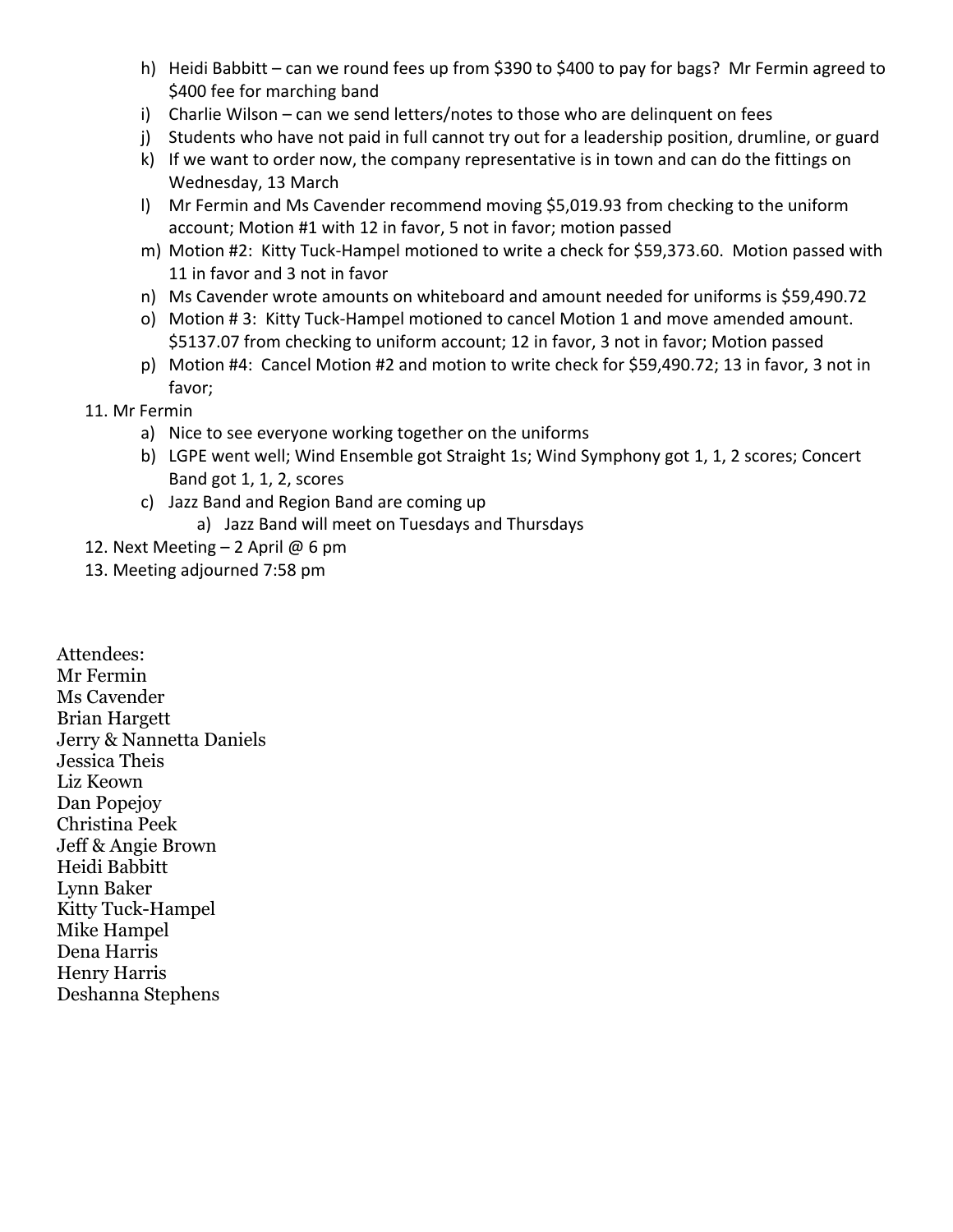- h) Heidi Babbitt can we round fees up from \$390 to \$400 to pay for bags? Mr Fermin agreed to \$400 fee for marching band
- i) Charlie Wilson can we send letters/notes to those who are delinquent on fees
- j) Students who have not paid in full cannot try out for a leadership position, drumline, or guard
- k) If we want to order now, the company representative is in town and can do the fittings on Wednesday, 13 March
- l) Mr Fermin and Ms Cavender recommend moving \$5,019.93 from checking to the uniform account; Motion #1 with 12 in favor, 5 not in favor; motion passed
- m) Motion #2: Kitty Tuck-Hampel motioned to write a check for \$59,373.60. Motion passed with 11 in favor and 3 not in favor
- n) Ms Cavender wrote amounts on whiteboard and amount needed for uniforms is \$59,490.72
- o) Motion # 3: Kitty Tuck-Hampel motioned to cancel Motion 1 and move amended amount. \$5137.07 from checking to uniform account; 12 in favor, 3 not in favor; Motion passed
- p) Motion #4: Cancel Motion #2 and motion to write check for \$59,490.72; 13 in favor, 3 not in favor;
- 11. Mr Fermin
	- a) Nice to see everyone working together on the uniforms
	- b) LGPE went well; Wind Ensemble got Straight 1s; Wind Symphony got 1, 1, 2 scores; Concert Band got 1, 1, 2, scores
	- c) Jazz Band and Region Band are coming up
		- a) Jazz Band will meet on Tuesdays and Thursdays
- 12. Next Meeting  $-$  2 April @ 6 pm
- 13. Meeting adjourned 7:58 pm

Attendees: Mr Fermin Ms Cavender Brian Hargett Jerry & Nannetta Daniels Jessica Theis Liz Keown Dan Popejoy Christina Peek Jeff & Angie Brown Heidi Babbitt Lynn Baker Kitty Tuck-Hampel Mike Hampel Dena Harris Henry Harris Deshanna Stephens